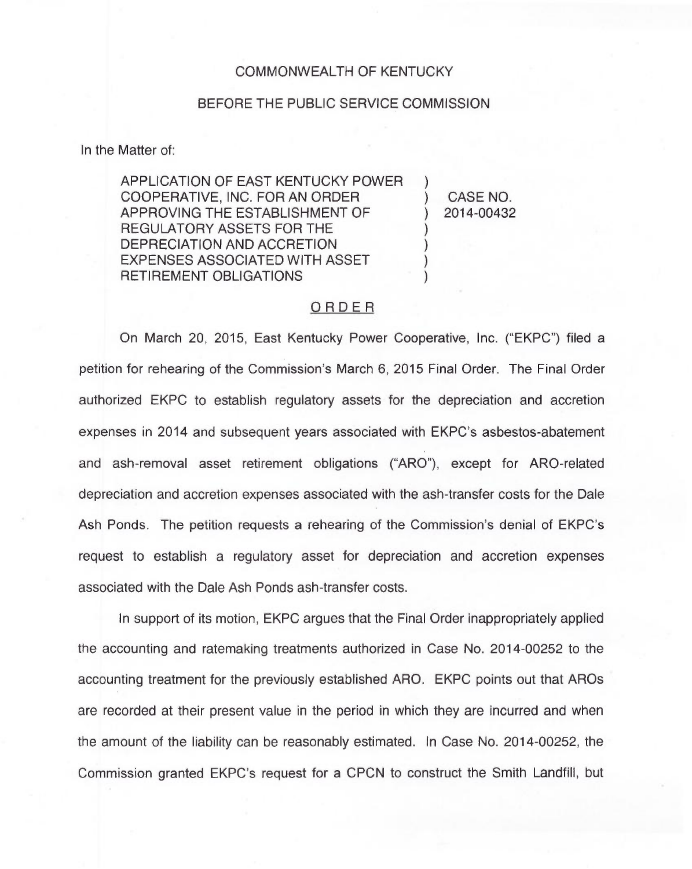## COMMONWEALTH OF KENTUCKY

## BEFORE THE PUBLIC SERVICE COMMISSION

In the Matter of:

APPLICATION OF EAST KENTUCKY POWER COOPERATIVE, INC. FOR AN ORDER APPROVING THE ESTABLISHMENT OF REGULATORY ASSETS FOR THE DEPRECIATION AND ACCRETION EXPENSES ASSOCIATED WITH ASSET RETIREMENT OBLIGATIONS

) CASE NO. ) 2014-00432

)

) ) ) )

## ORDER

On March 20, 2015, East Kentucky Power Cooperative, Inc. ("EKPC") filed a petition for rehearing of the Commission's March 6, 2015 Final Order. The Final Order authorized EKPC to establish regulatory assets for the depreciation and accretion expenses in 2014 and subsequent years associated with EKPC's asbestos-abatement and ash-removal asset retirement obligations ("ARO"), except for ARO-related depreciation and accretion expenses associated with the ash-transfer costs for the Dale Ash Ponds. The petition requests a rehearing of the Commission's denial of EKPC's request to establish a regulatory asset for depreciation and accretion expenses associated with the Dale Ash Ponds ash-transfer costs.

In support of its motion, EKPC argues that the Final Order inappropriately applied the accounting and ratemaking treatments authorized in Case No. 2014-00252 to the accounting treatment for the previously established ARO. EKPC points out that AROs are recorded at their present value in the period in which they are incurred and when the amount of the liability can be reasonably estimated. In Case No. 2014-00252, the Commission granted EKPC's request for a CPCN to construct the Smith Landfill, but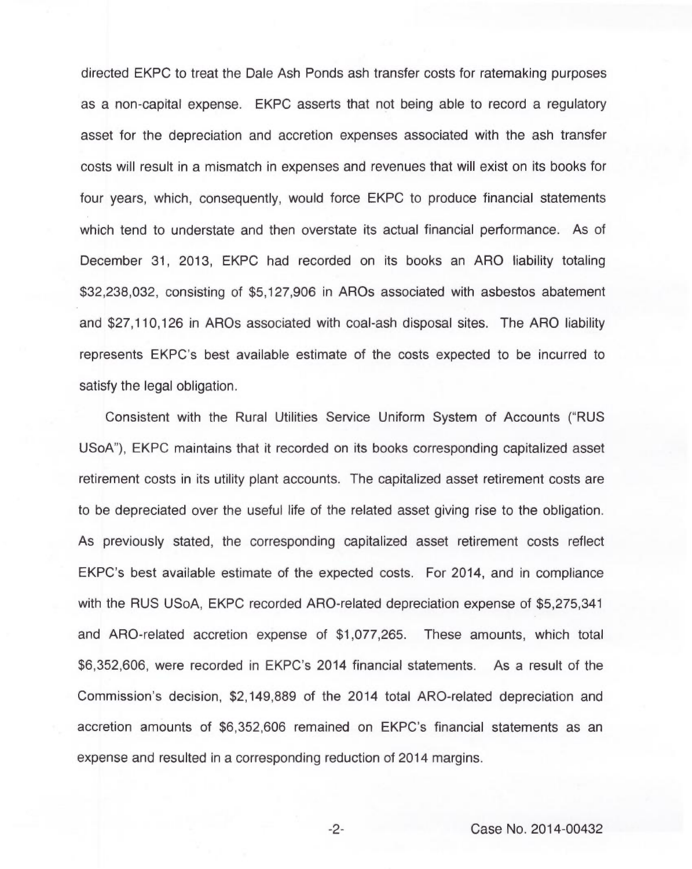directed EKPC to treat the Dale Ash Ponds ash transfer costs for ratemaking purposes as a non-capital expense. EKPC asserts that not being able to record a regulatory asset for the depreciation and accretion expenses associated with the ash transfer costs will result in a mismatch in expenses and revenues that will exist on its books for four years, which, consequently, would force EKPC to produce financial statements which tend to understate and then overstate its actual financial performance. As of December 31, 2013, EKPC had recorded on its books an ARO liability totaling \$32,238,032, consisting of \$5,127,906 in AROs associated with asbestos abatement and \$27,110,126 in AROs associated with coal-ash disposal sites. The ARO liability represents EKPC's best available estimate of the costs expected to be incurred to satisfy the legal obligation.

Consistent with the Rural Utilities Service Uniform System of Accounts ("RUS USoA"), EKPC maintains that it recorded on its books corresponding capitalized asset retirement costs in its utility plant accounts. The capitalized asset retirement costs are to be depreciated over the useful life of the related asset giving rise to the obligation. As previously stated, the corresponding capitalized asset retirement costs reflect EKPC's best available estimate of the expected costs. For 2014, and in compliance with the RUS USoA, EKPC recorded ARO-related depreciation expense of \$5,275,341 and ARO-related accretion expense of \$1,077,265. These amounts, which total \$6,352,606, were recorded in EKPC's 2014 financial statements. As a result of the Commission's decision, \$2,149,889 of the 2014 total ARO-related depreciation and accretion amounts of \$6,352,606 remained on EKPC's financial statements as an expense and resulted in a corresponding reduction of 2014 margins.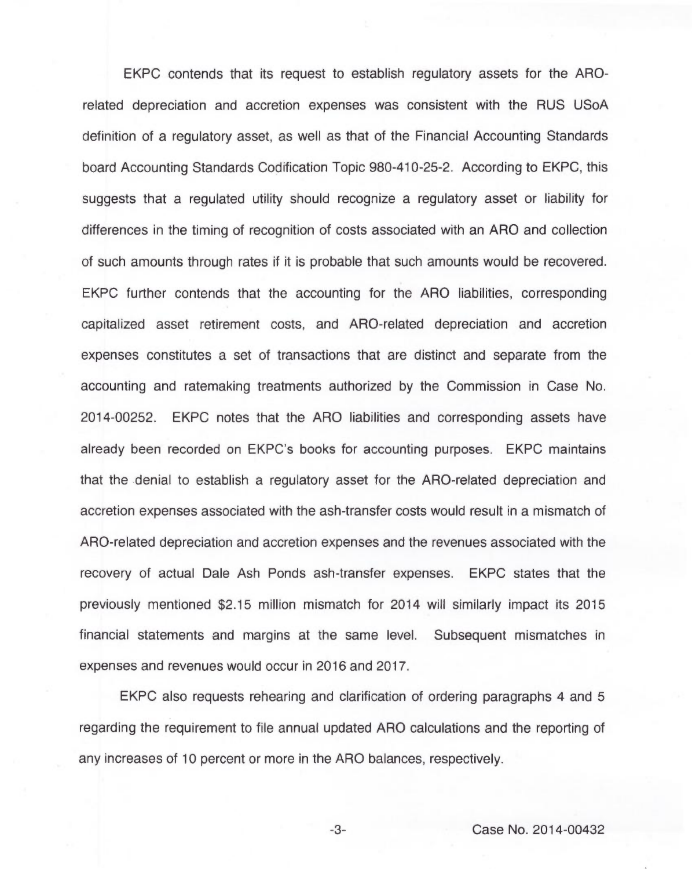EKPC contends that its request to establish regulatory assets for the AROrelated depreciation and accretion expenses was consistent with the RUS USoA definition of a regulatory asset, as well as that of the Financial Accounting Standards board Accounting Standards Codification Topic 980-410-25-2. According to EKPC, this suggests that a regulated utility should recognize a regulatory asset or liability for differences in the timing of recognition of costs associated with an ARO and collection of such amounts through rates if it is probable that such amounts would be recovered. EKPC further contends that the accounting for the ARO liabilities, corresponding capitalized asset retirement costs, and ARO-related depreciation and accretion expenses constitutes a set of transactions that are distinct and separate from the accounting and ratemaking treatments authorized by the Commission in Case No. 2014-00252. EKPC notes that the ARO liabilities and corresponding assets have already been recorded on EKPC's books for accounting purposes. EKPC maintains that the denial to establish a regulatory asset for the ARO-related depreciation and accretion expenses associated with the ash-transfer costs would result in a mismatch of ARO-related depreciation and accretion expenses and the revenues associated with the recovery of actual Dale Ash Ponds ash-transfer expenses. EKPC states that the previously mentioned \$2.15 million mismatch for 2014 will similarly impact its 2015 financial statements and margins at the same level. Subsequent mismatches in expenses and revenues would occur in 2016 and 2017.

EKPC also requests rehearing and clarification of ordering paragraphs 4 and 5 regarding the requirement to file annual updated ARO calculations and the reporting of any increases of 10 percent or more in the ARO balances, respectively.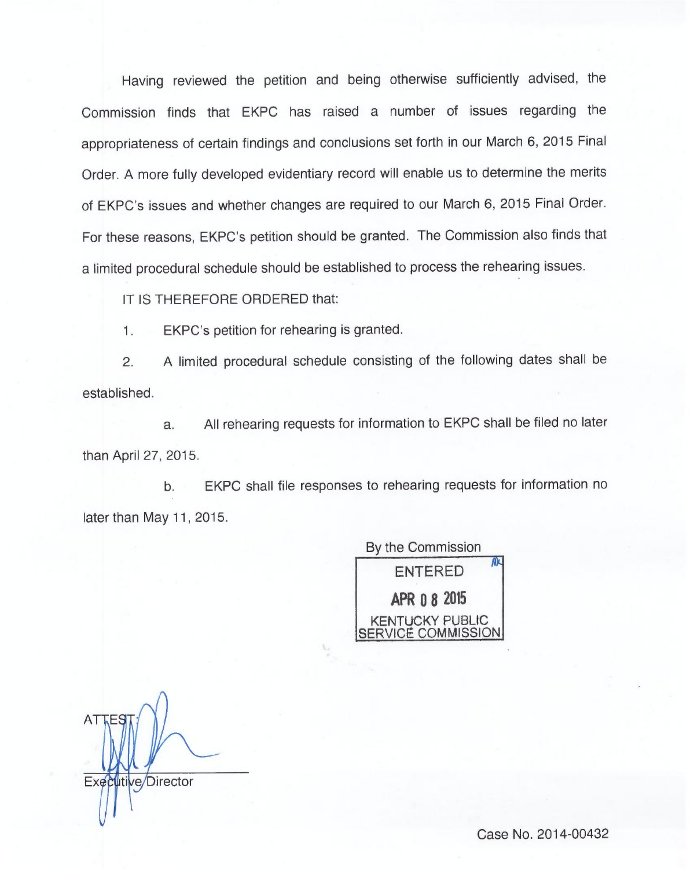Having reviewed the petition and being otherwise sufficiently advised, the Commission finds that EKPC has raised a number of issues regarding the appropriateness of certain findings and conclusions set forth in our March 6, 2015 Final Order. A more fully developed evidentiary record will enable us to determine the merits of EKPC's issues and whether changes are required to our March 6, 2015 Final Order. For these reasons, EKPC's petition should be granted. The Commission also finds that a limited procedural schedule should be established to process the rehearing issues.

IT IS THEREFORE ORDERED that:

1. EKPC's petition for rehearing is granted.

2. <sup>A</sup> limited procedural schedule consisting of the following dates shall be established.

a. All rehearing requests for information to EKPC shall be filed no later than April 27, 2015.

b. EKPC shall file responses to rehearing requests for information no later than May 11, 2015.

> By the Commission ENTERED APR O8 2015 KENTUCKY PUBLIC **FRVICE COMMISSION**

AT Executive/Director